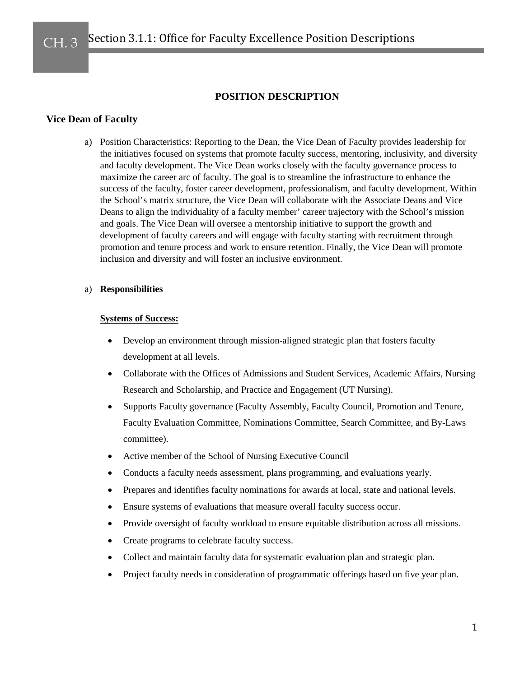# **POSITION DESCRIPTION**

# **Vice Dean of Faculty**

a) Position Characteristics: Reporting to the Dean, the Vice Dean of Faculty provides leadership for the initiatives focused on systems that promote faculty success, mentoring, inclusivity, and diversity and faculty development. The Vice Dean works closely with the faculty governance process to maximize the career arc of faculty. The goal is to streamline the infrastructure to enhance the success of the faculty, foster career development, professionalism, and faculty development. Within the School's matrix structure, the Vice Dean will collaborate with the Associate Deans and Vice Deans to align the individuality of a faculty member' career trajectory with the School's mission and goals. The Vice Dean will oversee a mentorship initiative to support the growth and development of faculty careers and will engage with faculty starting with recruitment through promotion and tenure process and work to ensure retention. Finally, the Vice Dean will promote inclusion and diversity and will foster an inclusive environment.

## a) **Responsibilities**

## **Systems of Success:**

- Develop an environment through mission-aligned strategic plan that fosters faculty development at all levels.
- Collaborate with the Offices of Admissions and Student Services, Academic Affairs, Nursing Research and Scholarship, and Practice and Engagement (UT Nursing).
- Supports Faculty governance (Faculty Assembly, Faculty Council, Promotion and Tenure, Faculty Evaluation Committee, Nominations Committee, Search Committee, and By-Laws committee).
- Active member of the School of Nursing Executive Council
- Conducts a faculty needs assessment, plans programming, and evaluations yearly.
- Prepares and identifies faculty nominations for awards at local, state and national levels.
- Ensure systems of evaluations that measure overall faculty success occur.
- Provide oversight of faculty workload to ensure equitable distribution across all missions.
- Create programs to celebrate faculty success.
- Collect and maintain faculty data for systematic evaluation plan and strategic plan.
- Project faculty needs in consideration of programmatic offerings based on five year plan.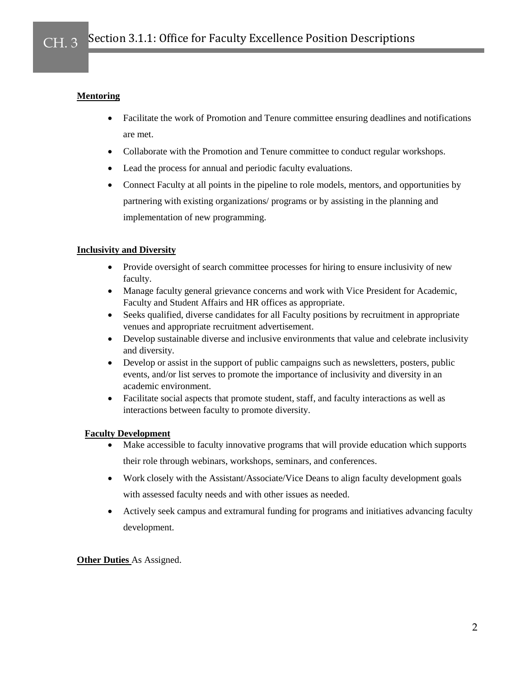## **Mentoring**

- Facilitate the work of Promotion and Tenure committee ensuring deadlines and notifications are met.
- Collaborate with the Promotion and Tenure committee to conduct regular workshops.
- Lead the process for annual and periodic faculty evaluations.
- Connect Faculty at all points in the pipeline to role models, mentors, and opportunities by partnering with existing organizations/ programs or by assisting in the planning and implementation of new programming.

## **Inclusivity and Diversity**

- Provide oversight of search committee processes for hiring to ensure inclusivity of new faculty.
- Manage faculty general grievance concerns and work with Vice President for Academic, Faculty and Student Affairs and HR offices as appropriate.
- Seeks qualified, diverse candidates for all Faculty positions by recruitment in appropriate venues and appropriate recruitment advertisement.
- Develop sustainable diverse and inclusive environments that value and celebrate inclusivity and diversity.
- Develop or assist in the support of public campaigns such as newsletters, posters, public events, and/or list serves to promote the importance of inclusivity and diversity in an academic environment.
- Facilitate social aspects that promote student, staff, and faculty interactions as well as interactions between faculty to promote diversity.

## **Faculty Development**

- Make accessible to faculty innovative programs that will provide education which supports their role through webinars, workshops, seminars, and conferences.
- Work closely with the Assistant/Associate/Vice Deans to align faculty development goals with assessed faculty needs and with other issues as needed.
- Actively seek campus and extramural funding for programs and initiatives advancing faculty development.

**Other Duties** As Assigned.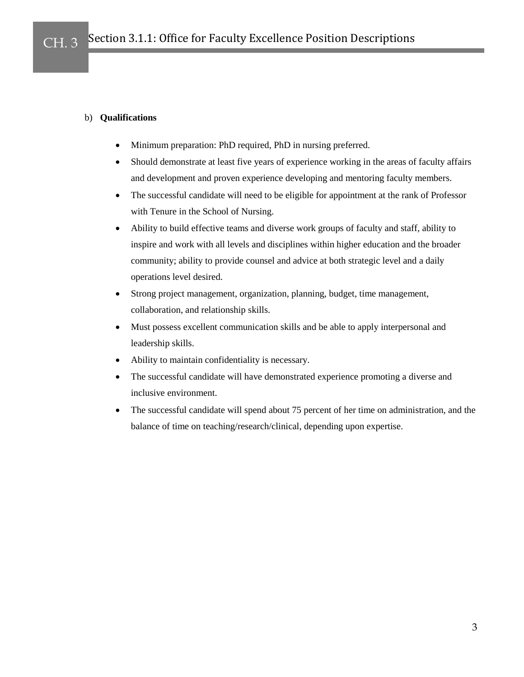## b) **Qualifications**

- Minimum preparation: PhD required, PhD in nursing preferred.
- Should demonstrate at least five years of experience working in the areas of faculty affairs and development and proven experience developing and mentoring faculty members.
- The successful candidate will need to be eligible for appointment at the rank of Professor with Tenure in the School of Nursing.
- Ability to build effective teams and diverse work groups of faculty and staff, ability to inspire and work with all levels and disciplines within higher education and the broader community; ability to provide counsel and advice at both strategic level and a daily operations level desired.
- Strong project management, organization, planning, budget, time management, collaboration, and relationship skills.
- Must possess excellent communication skills and be able to apply interpersonal and leadership skills.
- Ability to maintain confidentiality is necessary.
- The successful candidate will have demonstrated experience promoting a diverse and inclusive environment.
- The successful candidate will spend about 75 percent of her time on administration, and the balance of time on teaching/research/clinical, depending upon expertise.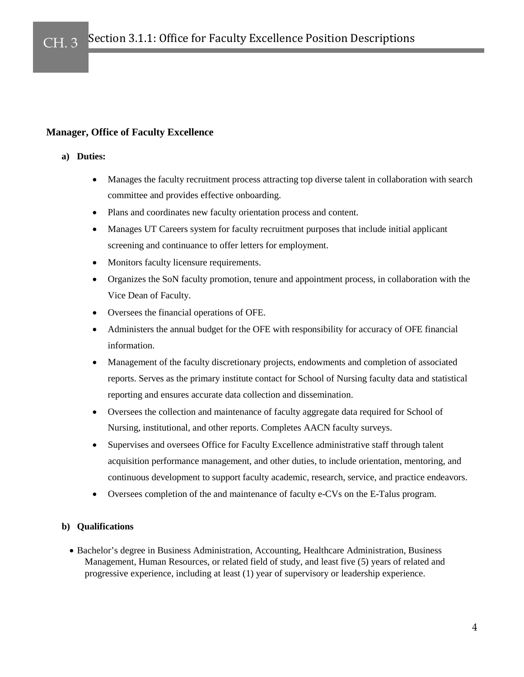# **Manager, Office of Faculty Excellence**

## **a) Duties:**

- Manages the faculty recruitment process attracting top diverse talent in collaboration with search committee and provides effective onboarding.
- Plans and coordinates new faculty orientation process and content.
- Manages UT Careers system for faculty recruitment purposes that include initial applicant screening and continuance to offer letters for employment.
- Monitors faculty licensure requirements.
- Organizes the SoN faculty promotion, tenure and appointment process, in collaboration with the Vice Dean of Faculty.
- Oversees the financial operations of OFE.
- Administers the annual budget for the OFE with responsibility for accuracy of OFE financial information.
- Management of the faculty discretionary projects, endowments and completion of associated reports. Serves as the primary institute contact for School of Nursing faculty data and statistical reporting and ensures accurate data collection and dissemination.
- Oversees the collection and maintenance of faculty aggregate data required for School of Nursing, institutional, and other reports. Completes AACN faculty surveys.
- Supervises and oversees Office for Faculty Excellence administrative staff through talent acquisition performance management, and other duties, to include orientation, mentoring, and continuous development to support faculty academic, research, service, and practice endeavors.
- Oversees completion of the and maintenance of faculty e-CVs on the E-Talus program.

## **b) Qualifications**

• Bachelor's degree in Business Administration, Accounting, Healthcare Administration, Business Management, Human Resources, or related field of study, and least five (5) years of related and progressive experience, including at least (1) year of supervisory or leadership experience.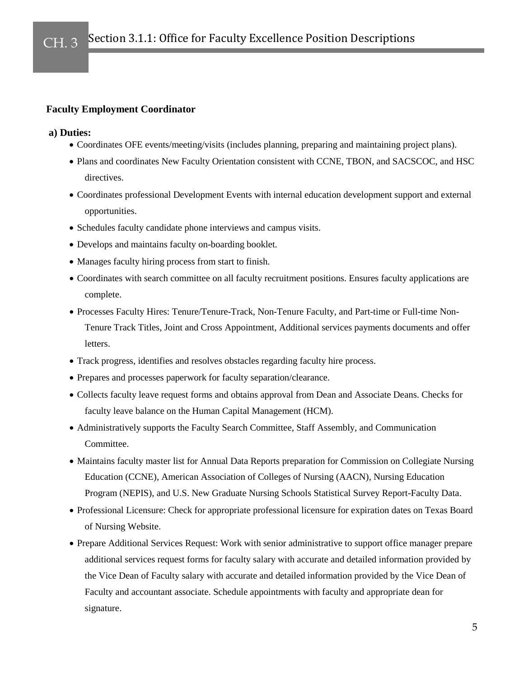## **Faculty Employment Coordinator**

## **a) Duties:**

- Coordinates OFE events/meeting/visits (includes planning, preparing and maintaining project plans).
- Plans and coordinates New Faculty Orientation consistent with CCNE, TBON, and SACSCOC, and HSC directives.
- Coordinates professional Development Events with internal education development support and external opportunities.
- Schedules faculty candidate phone interviews and campus visits.
- Develops and maintains faculty on-boarding booklet.
- Manages faculty hiring process from start to finish.
- Coordinates with search committee on all faculty recruitment positions. Ensures faculty applications are complete.
- Processes Faculty Hires: Tenure/Tenure-Track, Non-Tenure Faculty, and Part-time or Full-time Non-Tenure Track Titles, Joint and Cross Appointment, Additional services payments documents and offer letters.
- Track progress, identifies and resolves obstacles regarding faculty hire process.
- Prepares and processes paperwork for faculty separation/clearance.
- Collects faculty leave request forms and obtains approval from Dean and Associate Deans. Checks for faculty leave balance on the Human Capital Management (HCM).
- Administratively supports the Faculty Search Committee, Staff Assembly, and Communication Committee.
- Maintains faculty master list for Annual Data Reports preparation for Commission on Collegiate Nursing Education (CCNE), American Association of Colleges of Nursing (AACN), Nursing Education Program (NEPIS), and U.S. New Graduate Nursing Schools Statistical Survey Report-Faculty Data.
- Professional Licensure: Check for appropriate professional licensure for expiration dates on Texas Board of Nursing Website.
- Prepare Additional Services Request: Work with senior administrative to support office manager prepare additional services request forms for faculty salary with accurate and detailed information provided by the Vice Dean of Faculty salary with accurate and detailed information provided by the Vice Dean of Faculty and accountant associate. Schedule appointments with faculty and appropriate dean for signature.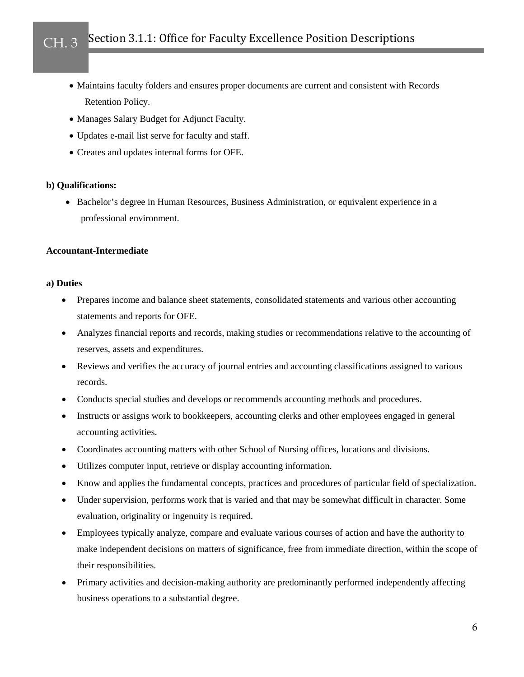- Maintains faculty folders and ensures proper documents are current and consistent with Records Retention Policy.
- Manages Salary Budget for Adjunct Faculty.
- Updates e-mail list serve for faculty and staff.
- Creates and updates internal forms for OFE.

#### **b) Qualifications:**

• Bachelor's degree in Human Resources, Business Administration, or equivalent experience in a professional environment.

### **Accountant-Intermediate**

#### **a) Duties**

- Prepares income and balance sheet statements, consolidated statements and various other accounting statements and reports for OFE.
- Analyzes financial reports and records, making studies or recommendations relative to the accounting of reserves, assets and expenditures.
- Reviews and verifies the accuracy of journal entries and accounting classifications assigned to various records.
- Conducts special studies and develops or recommends accounting methods and procedures.
- Instructs or assigns work to bookkeepers, accounting clerks and other employees engaged in general accounting activities.
- Coordinates accounting matters with other School of Nursing offices, locations and divisions.
- Utilizes computer input, retrieve or display accounting information.
- Know and applies the fundamental concepts, practices and procedures of particular field of specialization.
- Under supervision, performs work that is varied and that may be somewhat difficult in character. Some evaluation, originality or ingenuity is required.
- Employees typically analyze, compare and evaluate various courses of action and have the authority to make independent decisions on matters of significance, free from immediate direction, within the scope of their responsibilities.
- Primary activities and decision-making authority are predominantly performed independently affecting business operations to a substantial degree.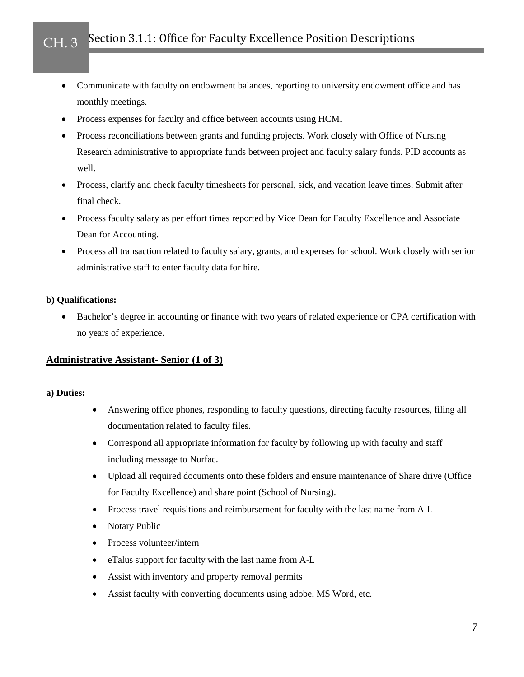- Communicate with faculty on endowment balances, reporting to university endowment office and has monthly meetings.
- Process expenses for faculty and office between accounts using HCM.
- Process reconciliations between grants and funding projects. Work closely with Office of Nursing Research administrative to appropriate funds between project and faculty salary funds. PID accounts as well.
- Process, clarify and check faculty timesheets for personal, sick, and vacation leave times. Submit after final check.
- Process faculty salary as per effort times reported by Vice Dean for Faculty Excellence and Associate Dean for Accounting.
- Process all transaction related to faculty salary, grants, and expenses for school. Work closely with senior administrative staff to enter faculty data for hire.

## **b) Qualifications:**

Bachelor's degree in accounting or finance with two years of related experience or CPA certification with no years of experience.

# **Administrative Assistant- Senior (1 of 3)**

## **a) Duties:**

- Answering office phones, responding to faculty questions, directing faculty resources, filing all documentation related to faculty files.
- Correspond all appropriate information for faculty by following up with faculty and staff including message to Nurfac.
- Upload all required documents onto these folders and ensure maintenance of Share drive (Office for Faculty Excellence) and share point (School of Nursing).
- Process travel requisitions and reimbursement for faculty with the last name from A-L
- Notary Public
- Process volunteer/intern
- eTalus support for faculty with the last name from A-L
- Assist with inventory and property removal permits
- Assist faculty with converting documents using adobe, MS Word, etc.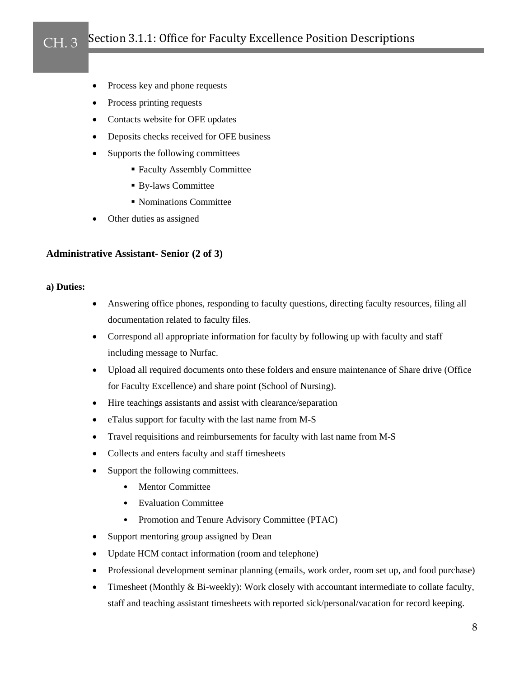- Process key and phone requests
- Process printing requests
- Contacts website for OFE updates
- Deposits checks received for OFE business
- Supports the following committees
	- Faculty Assembly Committee
	- By-laws Committee
	- Nominations Committee
- Other duties as assigned

# **Administrative Assistant- Senior (2 of 3)**

## **a) Duties:**

- Answering office phones, responding to faculty questions, directing faculty resources, filing all documentation related to faculty files.
- Correspond all appropriate information for faculty by following up with faculty and staff including message to Nurfac.
- Upload all required documents onto these folders and ensure maintenance of Share drive (Office for Faculty Excellence) and share point (School of Nursing).
- Hire teachings assistants and assist with clearance/separation
- eTalus support for faculty with the last name from M-S
- Travel requisitions and reimbursements for faculty with last name from M-S
- Collects and enters faculty and staff timesheets
- Support the following committees.
	- Mentor Committee
	- Evaluation Committee
	- Promotion and Tenure Advisory Committee (PTAC)
- Support mentoring group assigned by Dean
- Update HCM contact information (room and telephone)
- Professional development seminar planning (emails, work order, room set up, and food purchase)
- Timesheet (Monthly & Bi-weekly): Work closely with accountant intermediate to collate faculty, staff and teaching assistant timesheets with reported sick/personal/vacation for record keeping.